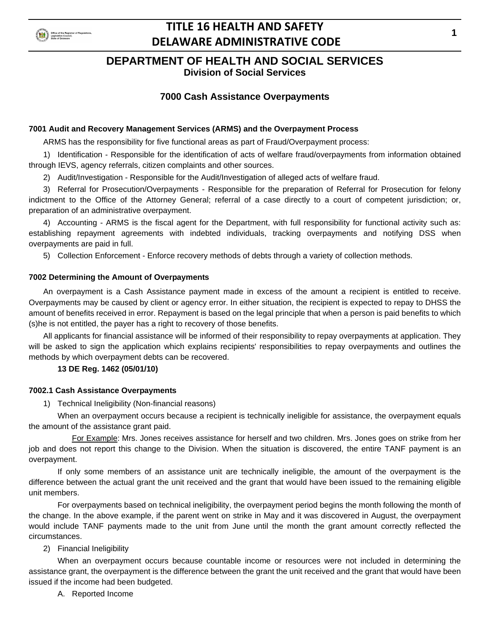

### **DEPARTMENT OF HEALTH AND SOCIAL SERVICES**

**Division of Social Services**

### **7000 Cash Assistance Overpayments**

### **7001 Audit and Recovery Management Services (ARMS) and the Overpayment Process**

ARMS has the responsibility for five functional areas as part of Fraud/Overpayment process:

1) Identification - Responsible for the identification of acts of welfare fraud/overpayments from information obtained through IEVS, agency referrals, citizen complaints and other sources.

2) Audit/Investigation - Responsible for the Audit/Investigation of alleged acts of welfare fraud.

3) Referral for Prosecution/Overpayments - Responsible for the preparation of Referral for Prosecution for felony indictment to the Office of the Attorney General; referral of a case directly to a court of competent jurisdiction; or, preparation of an administrative overpayment.

4) Accounting - ARMS is the fiscal agent for the Department, with full responsibility for functional activity such as: establishing repayment agreements with indebted individuals, tracking overpayments and notifying DSS when overpayments are paid in full.

5) Collection Enforcement - Enforce recovery methods of debts through a variety of collection methods.

#### **7002 Determining the Amount of Overpayments**

An overpayment is a Cash Assistance payment made in excess of the amount a recipient is entitled to receive. Overpayments may be caused by client or agency error. In either situation, the recipient is expected to repay to DHSS the amount of benefits received in error. Repayment is based on the legal principle that when a person is paid benefits to which (s)he is not entitled, the payer has a right to recovery of those benefits.

All applicants for financial assistance will be informed of their responsibility to repay overpayments at application. They will be asked to sign the application which explains recipients' responsibilities to repay overpayments and outlines the methods by which overpayment debts can be recovered.

### **13 DE Reg. 1462 (05/01/10)**

### **7002.1 Cash Assistance Overpayments**

1) Technical Ineligibility (Non-financial reasons)

When an overpayment occurs because a recipient is technically ineligible for assistance, the overpayment equals the amount of the assistance grant paid.

For Example: Mrs. Jones receives assistance for herself and two children. Mrs. Jones goes on strike from her job and does not report this change to the Division. When the situation is discovered, the entire TANF payment is an overpayment.

If only some members of an assistance unit are technically ineligible, the amount of the overpayment is the difference between the actual grant the unit received and the grant that would have been issued to the remaining eligible unit members.

For overpayments based on technical ineligibility, the overpayment period begins the month following the month of the change. In the above example, if the parent went on strike in May and it was discovered in August, the overpayment would include TANF payments made to the unit from June until the month the grant amount correctly reflected the circumstances.

### 2) Financial Ineligibility

When an overpayment occurs because countable income or resources were not included in determining the assistance grant, the overpayment is the difference between the grant the unit received and the grant that would have been issued if the income had been budgeted.

A. Reported Income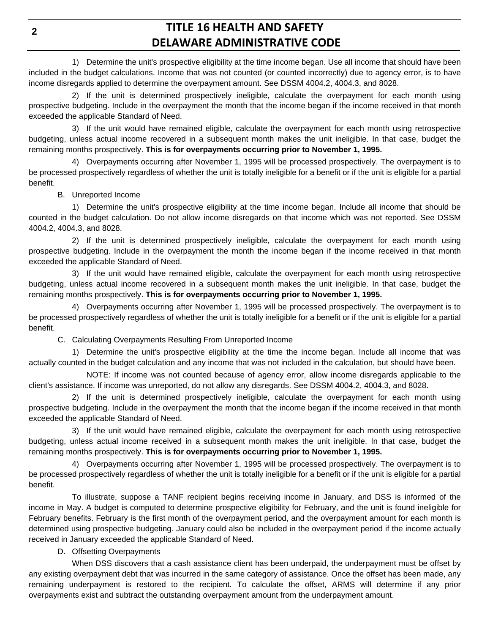1) Determine the unit's prospective eligibility at the time income began. Use all income that should have been included in the budget calculations. Income that was not counted (or counted incorrectly) due to agency error, is to have income disregards applied to determine the overpayment amount. See DSSM 4004.2, 4004.3, and 8028.

2) If the unit is determined prospectively ineligible, calculate the overpayment for each month using prospective budgeting. Include in the overpayment the month that the income began if the income received in that month exceeded the applicable Standard of Need.

3) If the unit would have remained eligible, calculate the overpayment for each month using retrospective budgeting, unless actual income recovered in a subsequent month makes the unit ineligible. In that case, budget the remaining months prospectively. **This is for overpayments occurring prior to November 1, 1995.**

4) Overpayments occurring after November 1, 1995 will be processed prospectively. The overpayment is to be processed prospectively regardless of whether the unit is totally ineligible for a benefit or if the unit is eligible for a partial benefit.

B. Unreported Income

1) Determine the unit's prospective eligibility at the time income began. Include all income that should be counted in the budget calculation. Do not allow income disregards on that income which was not reported. See DSSM 4004.2, 4004.3, and 8028.

2) If the unit is determined prospectively ineligible, calculate the overpayment for each month using prospective budgeting. Include in the overpayment the month the income began if the income received in that month exceeded the applicable Standard of Need.

3) If the unit would have remained eligible, calculate the overpayment for each month using retrospective budgeting, unless actual income recovered in a subsequent month makes the unit ineligible. In that case, budget the remaining months prospectively. **This is for overpayments occurring prior to November 1, 1995.**

4) Overpayments occurring after November 1, 1995 will be processed prospectively. The overpayment is to be processed prospectively regardless of whether the unit is totally ineligible for a benefit or if the unit is eligible for a partial benefit.

C. Calculating Overpayments Resulting From Unreported Income

1) Determine the unit's prospective eligibility at the time the income began. Include all income that was actually counted in the budget calculation and any income that was not included in the calculation, but should have been.

NOTE: If income was not counted because of agency error, allow income disregards applicable to the client's assistance. If income was unreported, do not allow any disregards. See DSSM 4004.2, 4004.3, and 8028.

2) If the unit is determined prospectively ineligible, calculate the overpayment for each month using prospective budgeting. Include in the overpayment the month that the income began if the income received in that month exceeded the applicable Standard of Need.

3) If the unit would have remained eligible, calculate the overpayment for each month using retrospective budgeting, unless actual income received in a subsequent month makes the unit ineligible. In that case, budget the remaining months prospectively. **This is for overpayments occurring prior to November 1, 1995.**

4) Overpayments occurring after November 1, 1995 will be processed prospectively. The overpayment is to be processed prospectively regardless of whether the unit is totally ineligible for a benefit or if the unit is eligible for a partial benefit.

To illustrate, suppose a TANF recipient begins receiving income in January, and DSS is informed of the income in May. A budget is computed to determine prospective eligibility for February, and the unit is found ineligible for February benefits. February is the first month of the overpayment period, and the overpayment amount for each month is determined using prospective budgeting. January could also be included in the overpayment period if the income actually received in January exceeded the applicable Standard of Need.

D. Offsetting Overpayments

When DSS discovers that a cash assistance client has been underpaid, the underpayment must be offset by any existing overpayment debt that was incurred in the same category of assistance. Once the offset has been made, any remaining underpayment is restored to the recipient. To calculate the offset, ARMS will determine if any prior overpayments exist and subtract the outstanding overpayment amount from the underpayment amount.

**2**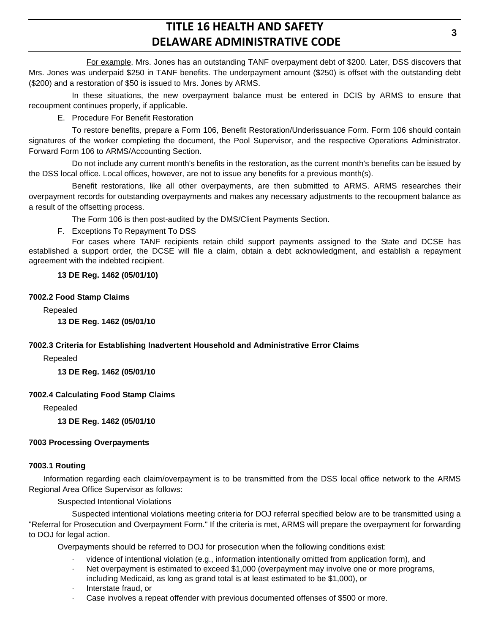For example, Mrs. Jones has an outstanding TANF overpayment debt of \$200. Later, DSS discovers that Mrs. Jones was underpaid \$250 in TANF benefits. The underpayment amount (\$250) is offset with the outstanding debt (\$200) and a restoration of \$50 is issued to Mrs. Jones by ARMS.

In these situations, the new overpayment balance must be entered in DCIS by ARMS to ensure that recoupment continues properly, if applicable.

E. Procedure For Benefit Restoration

To restore benefits, prepare a Form 106, Benefit Restoration/Underissuance Form. Form 106 should contain signatures of the worker completing the document, the Pool Supervisor, and the respective Operations Administrator. Forward Form 106 to ARMS/Accounting Section.

Do not include any current month's benefits in the restoration, as the current month's benefits can be issued by the DSS local office. Local offices, however, are not to issue any benefits for a previous month(s).

Benefit restorations, like all other overpayments, are then submitted to ARMS. ARMS researches their overpayment records for outstanding overpayments and makes any necessary adjustments to the recoupment balance as a result of the offsetting process.

The Form 106 is then post-audited by the DMS/Client Payments Section.

F. Exceptions To Repayment To DSS

For cases where TANF recipients retain child support payments assigned to the State and DCSE has established a support order, the DCSE will file a claim, obtain a debt acknowledgment, and establish a repayment agreement with the indebted recipient.

**13 DE Reg. 1462 (05/01/10)**

### **7002.2 Food Stamp Claims**

Repealed

**13 DE Reg. 1462 (05/01/10**

### **7002.3 Criteria for Establishing Inadvertent Household and Administrative Error Claims**

Repealed

**13 DE Reg. 1462 (05/01/10**

### **7002.4 Calculating Food Stamp Claims**

Repealed

**13 DE Reg. 1462 (05/01/10**

### **7003 Processing Overpayments**

### **7003.1 Routing**

Information regarding each claim/overpayment is to be transmitted from the DSS local office network to the ARMS Regional Area Office Supervisor as follows:

Suspected Intentional Violations

Suspected intentional violations meeting criteria for DOJ referral specified below are to be transmitted using a "Referral for Prosecution and Overpayment Form." If the criteria is met, ARMS will prepare the overpayment for forwarding to DOJ for legal action.

Overpayments should be referred to DOJ for prosecution when the following conditions exist:

- vidence of intentional violation (e.g., information intentionally omitted from application form), and
- Net overpayment is estimated to exceed \$1,000 (overpayment may involve one or more programs, including Medicaid, as long as grand total is at least estimated to be \$1,000), or
- · Interstate fraud, or
- Case involves a repeat offender with previous documented offenses of \$500 or more.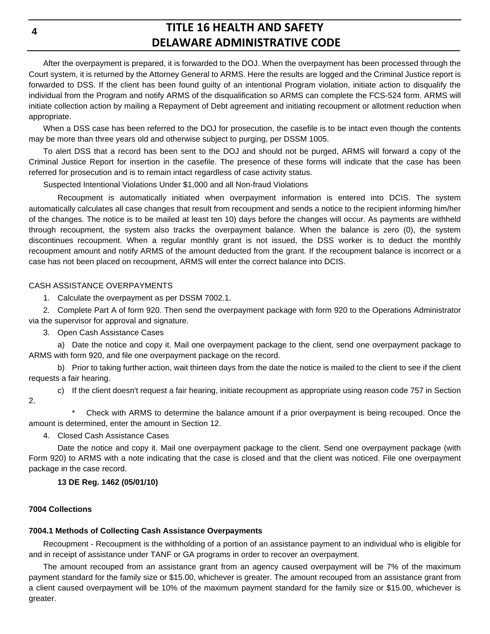After the overpayment is prepared, it is forwarded to the DOJ. When the overpayment has been processed through the Court system, it is returned by the Attorney General to ARMS. Here the results are logged and the Criminal Justice report is forwarded to DSS. If the client has been found guilty of an intentional Program violation, initiate action to disqualify the individual from the Program and notify ARMS of the disqualification so ARMS can complete the FCS-524 form. ARMS will initiate collection action by mailing a Repayment of Debt agreement and initiating recoupment or allotment reduction when appropriate.

When a DSS case has been referred to the DOJ for prosecution, the casefile is to be intact even though the contents may be more than three years old and otherwise subject to purging, per DSSM 1005.

To alert DSS that a record has been sent to the DOJ and should not be purged, ARMS will forward a copy of the Criminal Justice Report for insertion in the casefile. The presence of these forms will indicate that the case has been referred for prosecution and is to remain intact regardless of case activity status.

Suspected Intentional Violations Under \$1,000 and all Non-fraud Violations

Recoupment is automatically initiated when overpayment information is entered into DCIS. The system automatically calculates all case changes that result from recoupment and sends a notice to the recipient informing him/her of the changes. The notice is to be mailed at least ten 10) days before the changes will occur. As payments are withheld through recoupment, the system also tracks the overpayment balance. When the balance is zero (0), the system discontinues recoupment. When a regular monthly grant is not issued, the DSS worker is to deduct the monthly recoupment amount and notify ARMS of the amount deducted from the grant. If the recoupment balance is incorrect or a case has not been placed on recoupment, ARMS will enter the correct balance into DCIS.

### CASH ASSISTANCE OVERPAYMENTS

1. Calculate the overpayment as per DSSM 7002.1.

2. Complete Part A of form 920. Then send the overpayment package with form 920 to the Operations Administrator via the supervisor for approval and signature.

3. Open Cash Assistance Cases

a) Date the notice and copy it. Mail one overpayment package to the client, send one overpayment package to ARMS with form 920, and file one overpayment package on the record.

b) Prior to taking further action, wait thirteen days from the date the notice is mailed to the client to see if the client requests a fair hearing.

c) If the client doesn't request a fair hearing, initiate recoupment as appropriate using reason code 757 in Section 2.

Check with ARMS to determine the balance amount if a prior overpayment is being recouped. Once the amount is determined, enter the amount in Section 12.

4. Closed Cash Assistance Cases

Date the notice and copy it. Mail one overpayment package to the client. Send one overpayment package (with Form 920) to ARMS with a note indicating that the case is closed and that the client was noticed. File one overpayment package in the case record.

### **13 DE Reg. 1462 (05/01/10)**

#### **7004 Collections**

### **7004.1 Methods of Collecting Cash Assistance Overpayments**

Recoupment - Recoupment is the withholding of a portion of an assistance payment to an individual who is eligible for and in receipt of assistance under TANF or GA programs in order to recover an overpayment.

The amount recouped from an assistance grant from an agency caused overpayment will be 7% of the maximum payment standard for the family size or \$15.00, whichever is greater. The amount recouped from an assistance grant from a client caused overpayment will be 10% of the maximum payment standard for the family size or \$15.00, whichever is greater.

**4**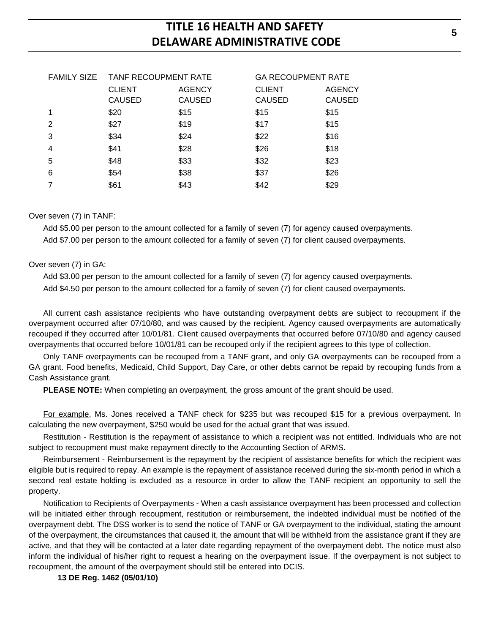| <b>FAMILY SIZE</b> | <b>TANF RECOUPMENT RATE</b> |               | <b>GA RECOUPMENT RATE</b> |               |
|--------------------|-----------------------------|---------------|---------------------------|---------------|
|                    | <b>CLIENT</b>               | <b>AGENCY</b> | <b>CLIENT</b>             | <b>AGENCY</b> |
|                    | <b>CAUSED</b>               | <b>CAUSED</b> | <b>CAUSED</b>             | <b>CAUSED</b> |
|                    | \$20                        | \$15          | \$15                      | \$15          |
| $\mathcal{P}$      | \$27                        | \$19          | \$17                      | \$15          |
| 3                  | \$34                        | \$24          | \$22                      | \$16          |
| 4                  | \$41                        | \$28          | \$26                      | \$18          |
| 5                  | \$48                        | \$33          | \$32                      | \$23          |
| 6                  | \$54                        | \$38          | \$37                      | \$26          |
|                    | \$61                        | \$43          | \$42                      | \$29          |

### Over seven (7) in TANF:

Add \$5.00 per person to the amount collected for a family of seven (7) for agency caused overpayments. Add \$7.00 per person to the amount collected for a family of seven (7) for client caused overpayments.

#### Over seven (7) in GA:

Add \$3.00 per person to the amount collected for a family of seven (7) for agency caused overpayments.

Add \$4.50 per person to the amount collected for a family of seven (7) for client caused overpayments.

All current cash assistance recipients who have outstanding overpayment debts are subject to recoupment if the overpayment occurred after 07/10/80, and was caused by the recipient. Agency caused overpayments are automatically recouped if they occurred after 10/01/81. Client caused overpayments that occurred before 07/10/80 and agency caused overpayments that occurred before 10/01/81 can be recouped only if the recipient agrees to this type of collection.

Only TANF overpayments can be recouped from a TANF grant, and only GA overpayments can be recouped from a GA grant. Food benefits, Medicaid, Child Support, Day Care, or other debts cannot be repaid by recouping funds from a Cash Assistance grant.

**PLEASE NOTE:** When completing an overpayment, the gross amount of the grant should be used.

For example, Ms. Jones received a TANF check for \$235 but was recouped \$15 for a previous overpayment. In calculating the new overpayment, \$250 would be used for the actual grant that was issued.

Restitution - Restitution is the repayment of assistance to which a recipient was not entitled. Individuals who are not subject to recoupment must make repayment directly to the Accounting Section of ARMS.

Reimbursement - Reimbursement is the repayment by the recipient of assistance benefits for which the recipient was eligible but is required to repay. An example is the repayment of assistance received during the six-month period in which a second real estate holding is excluded as a resource in order to allow the TANF recipient an opportunity to sell the property.

Notification to Recipients of Overpayments - When a cash assistance overpayment has been processed and collection will be initiated either through recoupment, restitution or reimbursement, the indebted individual must be notified of the overpayment debt. The DSS worker is to send the notice of TANF or GA overpayment to the individual, stating the amount of the overpayment, the circumstances that caused it, the amount that will be withheld from the assistance grant if they are active, and that they will be contacted at a later date regarding repayment of the overpayment debt. The notice must also inform the individual of his/her right to request a hearing on the overpayment issue. If the overpayment is not subject to recoupment, the amount of the overpayment should still be entered into DCIS.

### **13 DE Reg. 1462 (05/01/10)**